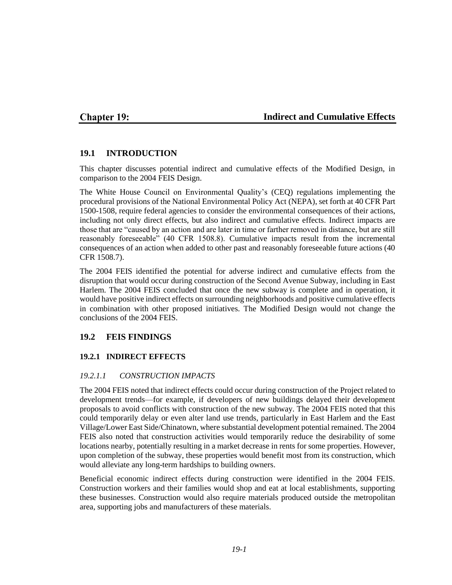## **Chapter 19:**

## **Indirect and Cumulative Effects**

## **19.1 INTRODUCTION**

This chapter discusses potential indirect and cumulative effects of the Modified Design, in comparison to the 2004 FEIS Design.

The White House Council on Environmental Quality's (CEQ) regulations implementing the procedural provisions of the National Environmental Policy Act (NEPA), set forth at 40 CFR Part 1500-1508, require federal agencies to consider the environmental consequences of their actions, including not only direct effects, but also indirect and cumulative effects. Indirect impacts are those that are "caused by an action and are later in time or farther removed in distance, but are still reasonably foreseeable" (40 CFR 1508.8). Cumulative impacts result from the incremental consequences of an action when added to other past and reasonably foreseeable future actions (40 CFR 1508.7).

The 2004 FEIS identified the potential for adverse indirect and cumulative effects from the disruption that would occur during construction of the Second Avenue Subway, including in East Harlem. The 2004 FEIS concluded that once the new subway is complete and in operation, it would have positive indirect effects on surrounding neighborhoods and positive cumulative effects in combination with other proposed initiatives. The Modified Design would not change the conclusions of the 2004 FEIS.

### **19.2 FEIS FINDINGS**

### **19.2.1 INDIRECT EFFECTS**

### *19.2.1.1 CONSTRUCTION IMPACTS*

The 2004 FEIS noted that indirect effects could occur during construction of the Project related to development trends—for example, if developers of new buildings delayed their development proposals to avoid conflicts with construction of the new subway. The 2004 FEIS noted that this could temporarily delay or even alter land use trends, particularly in East Harlem and the East Village/Lower East Side/Chinatown, where substantial development potential remained. The 2004 FEIS also noted that construction activities would temporarily reduce the desirability of some locations nearby, potentially resulting in a market decrease in rents for some properties. However, upon completion of the subway, these properties would benefit most from its construction, which would alleviate any long-term hardships to building owners.

Beneficial economic indirect effects during construction were identified in the 2004 FEIS. Construction workers and their families would shop and eat at local establishments, supporting these businesses. Construction would also require materials produced outside the metropolitan area, supporting jobs and manufacturers of these materials.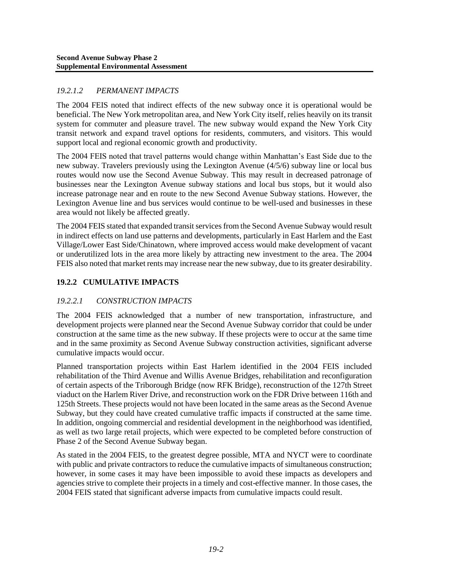## *19.2.1.2 PERMANENT IMPACTS*

The 2004 FEIS noted that indirect effects of the new subway once it is operational would be beneficial. The New York metropolitan area, and New York City itself, relies heavily on its transit system for commuter and pleasure travel. The new subway would expand the New York City transit network and expand travel options for residents, commuters, and visitors. This would support local and regional economic growth and productivity.

The 2004 FEIS noted that travel patterns would change within Manhattan's East Side due to the new subway. Travelers previously using the Lexington Avenue (4/5/6) subway line or local bus routes would now use the Second Avenue Subway. This may result in decreased patronage of businesses near the Lexington Avenue subway stations and local bus stops, but it would also increase patronage near and en route to the new Second Avenue Subway stations. However, the Lexington Avenue line and bus services would continue to be well-used and businesses in these area would not likely be affected greatly.

The 2004 FEIS stated that expanded transit services from the Second Avenue Subway would result in indirect effects on land use patterns and developments, particularly in East Harlem and the East Village/Lower East Side/Chinatown, where improved access would make development of vacant or underutilized lots in the area more likely by attracting new investment to the area. The 2004 FEIS also noted that market rents may increase near the new subway, due to its greater desirability.

## **19.2.2 CUMULATIVE IMPACTS**

## *19.2.2.1 CONSTRUCTION IMPACTS*

The 2004 FEIS acknowledged that a number of new transportation, infrastructure, and development projects were planned near the Second Avenue Subway corridor that could be under construction at the same time as the new subway. If these projects were to occur at the same time and in the same proximity as Second Avenue Subway construction activities, significant adverse cumulative impacts would occur.

Planned transportation projects within East Harlem identified in the 2004 FEIS included rehabilitation of the Third Avenue and Willis Avenue Bridges, rehabilitation and reconfiguration of certain aspects of the Triborough Bridge (now RFK Bridge), reconstruction of the 127th Street viaduct on the Harlem River Drive, and reconstruction work on the FDR Drive between 116th and 125th Streets. These projects would not have been located in the same areas as the Second Avenue Subway, but they could have created cumulative traffic impacts if constructed at the same time. In addition, ongoing commercial and residential development in the neighborhood was identified, as well as two large retail projects, which were expected to be completed before construction of Phase 2 of the Second Avenue Subway began.

As stated in the 2004 FEIS, to the greatest degree possible, MTA and NYCT were to coordinate with public and private contractors to reduce the cumulative impacts of simultaneous construction; however, in some cases it may have been impossible to avoid these impacts as developers and agencies strive to complete their projects in a timely and cost-effective manner. In those cases, the 2004 FEIS stated that significant adverse impacts from cumulative impacts could result.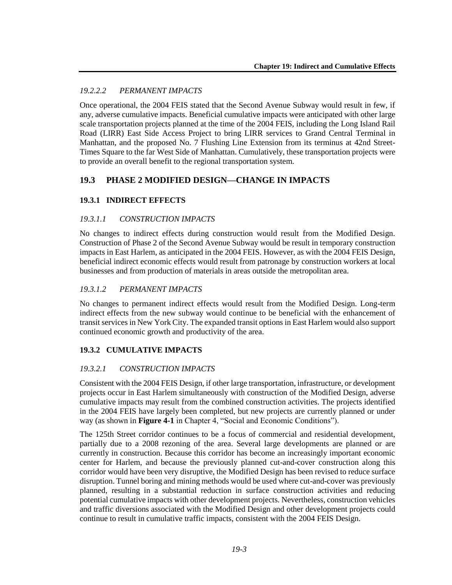## *19.2.2.2 PERMANENT IMPACTS*

Once operational, the 2004 FEIS stated that the Second Avenue Subway would result in few, if any, adverse cumulative impacts. Beneficial cumulative impacts were anticipated with other large scale transportation projects planned at the time of the 2004 FEIS, including the Long Island Rail Road (LIRR) East Side Access Project to bring LIRR services to Grand Central Terminal in Manhattan, and the proposed No. 7 Flushing Line Extension from its terminus at 42nd Street-Times Square to the far West Side of Manhattan. Cumulatively, these transportation projects were to provide an overall benefit to the regional transportation system.

# **19.3 PHASE 2 MODIFIED DESIGN—CHANGE IN IMPACTS**

## **19.3.1 INDIRECT EFFECTS**

## *19.3.1.1 CONSTRUCTION IMPACTS*

No changes to indirect effects during construction would result from the Modified Design. Construction of Phase 2 of the Second Avenue Subway would be result in temporary construction impacts in East Harlem, as anticipated in the 2004 FEIS. However, as with the 2004 FEIS Design, beneficial indirect economic effects would result from patronage by construction workers at local businesses and from production of materials in areas outside the metropolitan area.

## *19.3.1.2 PERMANENT IMPACTS*

No changes to permanent indirect effects would result from the Modified Design. Long-term indirect effects from the new subway would continue to be beneficial with the enhancement of transit services in New York City. The expanded transit options in East Harlem would also support continued economic growth and productivity of the area.

### **19.3.2 CUMULATIVE IMPACTS**

### *19.3.2.1 CONSTRUCTION IMPACTS*

Consistent with the 2004 FEIS Design, if other large transportation, infrastructure, or development projects occur in East Harlem simultaneously with construction of the Modified Design, adverse cumulative impacts may result from the combined construction activities. The projects identified in the 2004 FEIS have largely been completed, but new projects are currently planned or under way (as shown in **Figure 4-1** in Chapter 4, "Social and Economic Conditions").

The 125th Street corridor continues to be a focus of commercial and residential development, partially due to a 2008 rezoning of the area. Several large developments are planned or are currently in construction. Because this corridor has become an increasingly important economic center for Harlem, and because the previously planned cut-and-cover construction along this corridor would have been very disruptive, the Modified Design has been revised to reduce surface disruption. Tunnel boring and mining methods would be used where cut-and-cover was previously planned, resulting in a substantial reduction in surface construction activities and reducing potential cumulative impacts with other development projects. Nevertheless, construction vehicles and traffic diversions associated with the Modified Design and other development projects could continue to result in cumulative traffic impacts, consistent with the 2004 FEIS Design.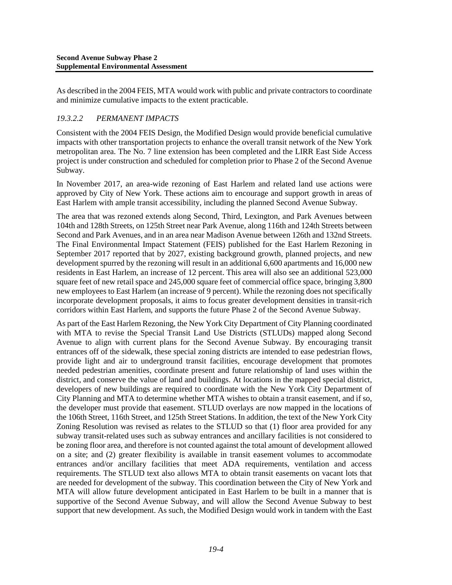As described in the 2004 FEIS, MTA would work with public and private contractors to coordinate and minimize cumulative impacts to the extent practicable.

### *19.3.2.2 PERMANENT IMPACTS*

Consistent with the 2004 FEIS Design, the Modified Design would provide beneficial cumulative impacts with other transportation projects to enhance the overall transit network of the New York metropolitan area. The No. 7 line extension has been completed and the LIRR East Side Access project is under construction and scheduled for completion prior to Phase 2 of the Second Avenue Subway.

In November 2017, an area-wide rezoning of East Harlem and related land use actions were approved by City of New York. These actions aim to encourage and support growth in areas of East Harlem with ample transit accessibility, including the planned Second Avenue Subway.

The area that was rezoned extends along Second, Third, Lexington, and Park Avenues between 104th and 128th Streets, on 125th Street near Park Avenue, along 116th and 124th Streets between Second and Park Avenues, and in an area near Madison Avenue between 126th and 132nd Streets. The Final Environmental Impact Statement (FEIS) published for the East Harlem Rezoning in September 2017 reported that by 2027, existing background growth, planned projects, and new development spurred by the rezoning will result in an additional 6,600 apartments and 16,000 new residents in East Harlem, an increase of 12 percent. This area will also see an additional 523,000 square feet of new retail space and 245,000 square feet of commercial office space, bringing 3,800 new employees to East Harlem (an increase of 9 percent). While the rezoning does not specifically incorporate development proposals, it aims to focus greater development densities in transit-rich corridors within East Harlem, and supports the future Phase 2 of the Second Avenue Subway.

As part of the East Harlem Rezoning, the New York City Department of City Planning coordinated with MTA to revise the Special Transit Land Use Districts (STLUDs) mapped along Second Avenue to align with current plans for the Second Avenue Subway. By encouraging transit entrances off of the sidewalk, these special zoning districts are intended to ease pedestrian flows, provide light and air to underground transit facilities, encourage development that promotes needed pedestrian amenities, coordinate present and future relationship of land uses within the district, and conserve the value of land and buildings. At locations in the mapped special district, developers of new buildings are required to coordinate with the New York City Department of City Planning and MTA to determine whether MTA wishes to obtain a transit easement, and if so, the developer must provide that easement. STLUD overlays are now mapped in the locations of the 106th Street, 116th Street, and 125th Street Stations. In addition, the text of the New York City Zoning Resolution was revised as relates to the STLUD so that (1) floor area provided for any subway transit-related uses such as subway entrances and ancillary facilities is not considered to be zoning floor area, and therefore is not counted against the total amount of development allowed on a site; and (2) greater flexibility is available in transit easement volumes to accommodate entrances and/or ancillary facilities that meet ADA requirements, ventilation and access requirements. The STLUD text also allows MTA to obtain transit easements on vacant lots that are needed for development of the subway. This coordination between the City of New York and MTA will allow future development anticipated in East Harlem to be built in a manner that is supportive of the Second Avenue Subway, and will allow the Second Avenue Subway to best support that new development. As such, the Modified Design would work in tandem with the East